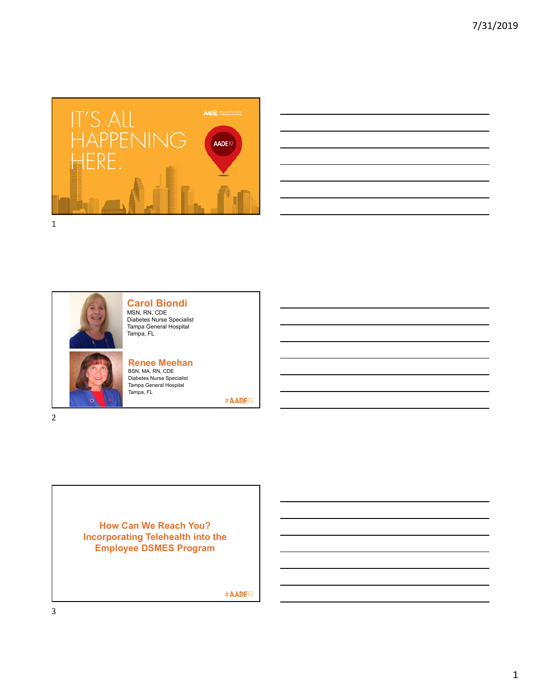

|                                                                                                                      |                                                             |  | and the control of the control of the control of the control of the control of the control of the control of the |  |
|----------------------------------------------------------------------------------------------------------------------|-------------------------------------------------------------|--|------------------------------------------------------------------------------------------------------------------|--|
|                                                                                                                      |                                                             |  |                                                                                                                  |  |
| and the control of the control of the control of the control of the control of the control of the control of the     |                                                             |  |                                                                                                                  |  |
| <u> 1989 - Andrea Andrew Maria (h. 1989).</u>                                                                        |                                                             |  |                                                                                                                  |  |
| ,我们也不会有什么。""我们的人,我们也不会有什么?""我们的人,我们也不会有什么?""我们的人,我们也不会有什么?""我们的人,我们也不会有什么?""我们的人                                     |                                                             |  |                                                                                                                  |  |
| <u> 1989 - Andrea Santa Andrea Andrea Andrea Andrea Andrea Andrea Andrea Andrea Andrea Andrea Andrea Andrea Andr</u> |                                                             |  |                                                                                                                  |  |
|                                                                                                                      | <u> 1989 - Johann Stoff, amerikansk politiker (d. 1989)</u> |  |                                                                                                                  |  |
|                                                                                                                      |                                                             |  |                                                                                                                  |  |



**Carol Biondi** MSN, RN, CDE Diabetes Nurse Specialist Tampa General Hospital Tampa, FL



**Renee Meehan** BSN, MA, RN, CDE Diabetes Nurse Specialist Tampa General Hospital Tampa, FL

#AADE<sup>19</sup>

**How Can We Reach You? Incorporating Telehealth into the Employee DSMES Program**

#AADE<sup>19</sup>

3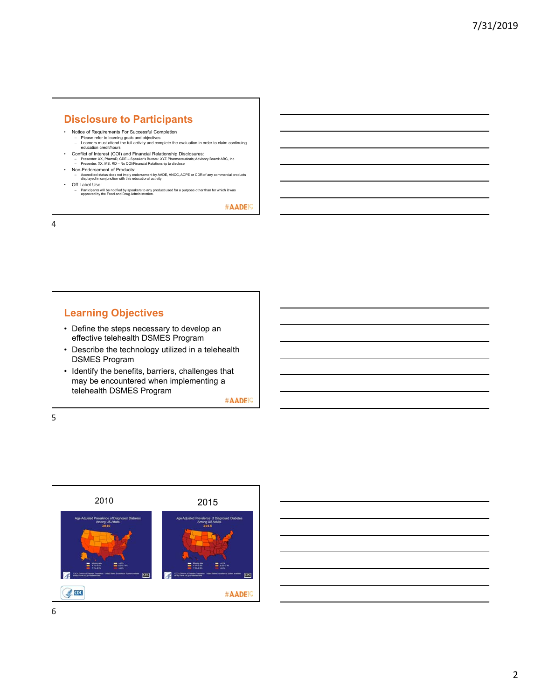# **Disclosure to Participants**

- 
- Notice of Requirements For Successful Completion Please refer to learning goals and objectives Learners must attend the full activity and complete the evaluation in order to claim continuing education credit/hours
- Conflict of Interest (COI) and Financial Relationship Disclosures:<br>- Presenter: XX, PharmD, CDE Speaker's Bureau: XYZ Pharmaceuticals; Advisory Board: ABC, Inc<br>- Presenter: XX, MS, RD No COl/Financial Relationship t
- 
- Non-Endorsement of Products: Accredited status does not imply endorsement by AADE, ANCC, ACPE or CDR of any commercial products displayed in conjunction with this educational activity
- Off-Label Use:
	- Participants will be notified by speakers to any product used for a purpose other than for which it was approved by the Food and Drug Administration.

#AADE<sup>19</sup>

4

# **Learning Objectives**

- Define the steps necessary to develop an effective telehealth DSMES Program
- Describe the technology utilized in a telehealth DSMES Program
- Identify the benefits, barriers, challenges that may be encountered when implementing a telehealth DSMES Program

#AADE<sup>19</sup>

5



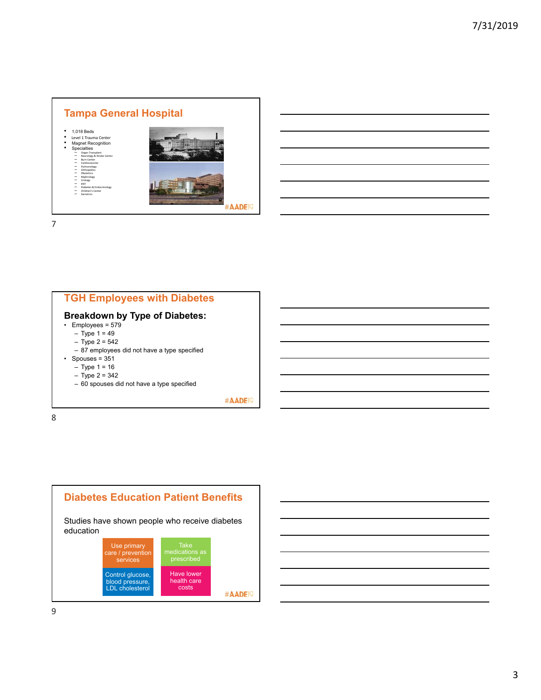

#### **TGH Employees with Diabetes Breakdown by Type of Diabetes:** • Employees = 579  $-$  Type 1 = 49  $-$  Type 2 = 542 – 87 employees did not have a type specified • Spouses =  $351$ – Type 1 = 16 – Type 2 = 342 – 60 spouses did not have a type specified

#AADE<sup>19</sup>



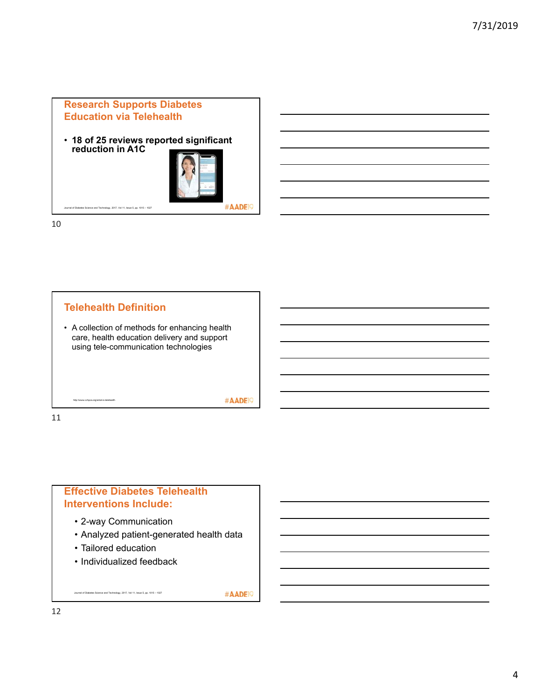## **Research Supports Diabetes Education via Telehealth**

• **18 of 25 reviews reported significant reduction in A1C**



10



# **Effective Diabetes Telehealth Interventions Include:**

- 2-way Communication
- Analyzed patient-generated health data
- Tailored education
- Individualized feedback

Journal of Diabetes Science and Technology, 2017, Vol 11, Issue 5, pp. 1015 – 1027

#AADE<sup>19</sup>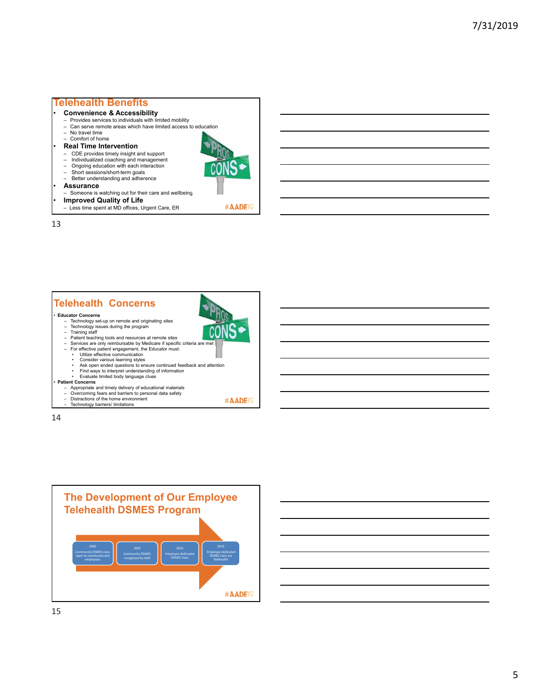## **Telehealth Benefits**

- **Convenience & Accessibility**
- ‒ Provides services to individuals with limited mobility
- ‒ Can serve remote areas which have limited access to education

#AADE<sup>19</sup>

#AADE<sup>19</sup>

- ‒ No travel time ‒ Comfort of home
- **Real Time Intervention**
- ‒ CDE provides timely insight and support
- 
- ‒ Individualized coaching and management ‒ Ongoing education with each interaction
- Short sessions/short-term goals
- Better understanding and adherence
- **Assurance**
- ‒ Someone is watching out for their care and wellbeing
- **Improved Quality of Life**
- Less time spent at MD offices, Urgent Care, ER

13

## **Telehealth Concerns** • **Educator Concerns**

- ‒ Technology set-up on remote and originating sites ‒ Technology issues during the program
- 
- Training staff<br>— Patient teaching tools and resources at remote sites<br>— Services are only reimbursable by Medicare if specific criteria are met
- 
- ‒ For effective patient engagement, the Educator must: Utilize effective communication
	-
	-
	- Consider various learning styles Ask open ended questions to ensure continued feedback and attention Find ways to interpret understanding of information
	- Evaluate limited body language clues

#### • **Patient Concerns**

- 
- ‒ Appropriate and timely delivery of educational materials ‒ Overcoming fears and barriers to personal data safety ‒ Distractions of the home environment
- 
- ‒ Technology barriers/ limitations

14

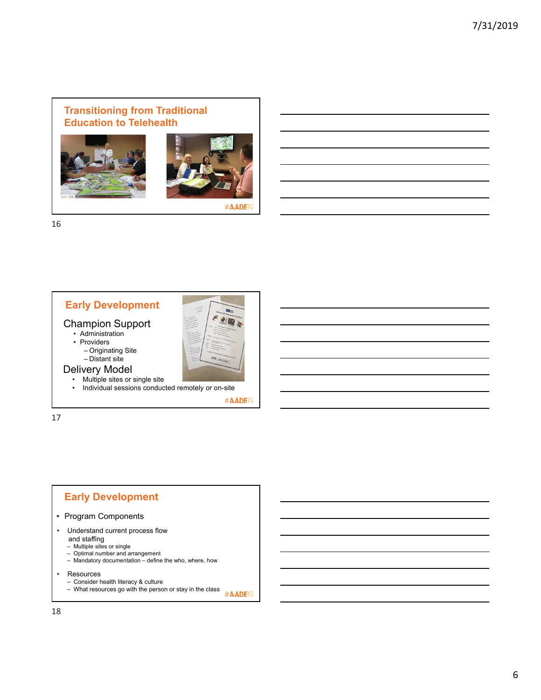## **Transitioning from Traditional Education to Telehealth**





#AADE

16





Delivery Model • Multiple sites or single site

 $-$  Distant site

• Individual sessions conducted remotely or on-site

#AADE<sup>19</sup>

17

# **Early Development**

- Program Components
- Understand current process flow
	-
	-
	- and staffing ‒ Multiple sites or single ‒ Optimal number and arrangement ‒ Mandatory documentation define the who, where, how
- Resources
	- Consider health literacy & culture
	- ‒ What resources go with the person or stay in the class #AADE<sup>19</sup>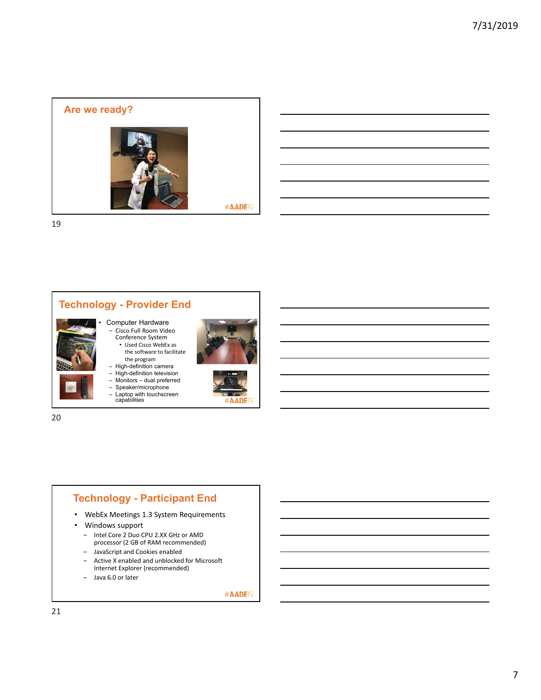



# **Technology - Participant End**

- WebEx Meetings 1.3 System Requirements
- Windows support
	- ‒ Intel Core 2 Duo CPU 2.XX GHz or AMD processor (2 GB of RAM recommended)
	- ‒ JavaScript and Cookies enabled
	- ‒ Active X enabled and unblocked for Microsoft Internet Explorer (recommended)
	- ‒ Java 6.0 or later

#AADE<sup>19</sup>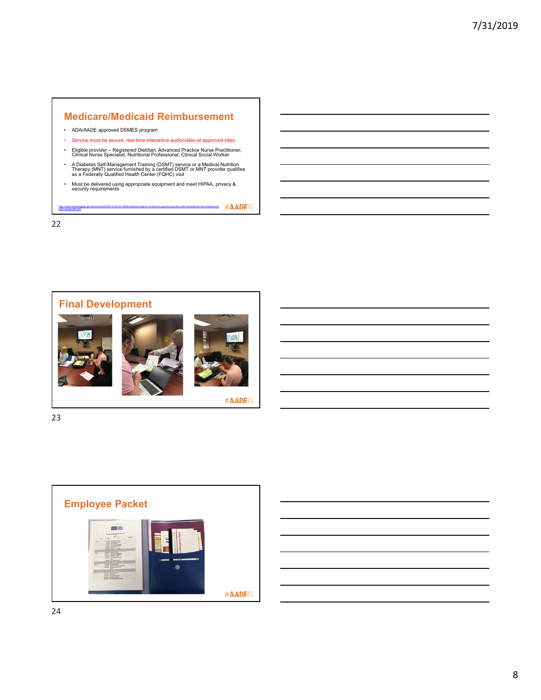## **Medicare/Medicaid Reimbursement**

- ADA/AADE approved DSMES program
- Service must be secure, real time interactive audio/video at approved sites
- Eligible provider Registered Dietitian, Advanced Practice Nurse Practitioner, Clinical Nurse Specialist, Nutritional Professional, Clinical Social Worker
- A Diabetes Self-Management Training (DSMT) service or a Medical Nutrition<br>Therapy (MNT) service furnished by a certified DSMT or MNT provider qualifies<br>as a Federally Qualified Health Center (FQHC) visit
- Must be delivered using appropriate equipment and meet HIPAA, privacy & security requirements

https://www.federalregister.gov/documents/2018/07/27/2018-14985/medicare-program-revisions-to-payment-policies-under-the-physician-fee-schedule-and-

22

 $-230$ 









#AADE<sup>19</sup>



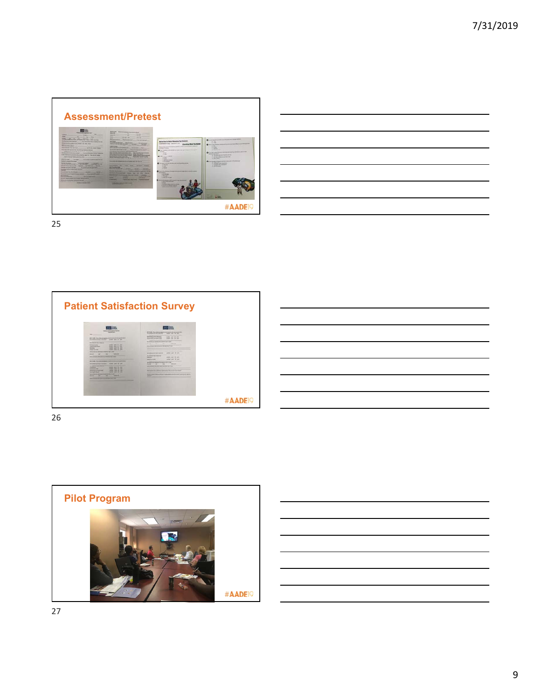

| and the contract of the contract of the contract of the contract of the contract of the contract of the contract of      |  |        |
|--------------------------------------------------------------------------------------------------------------------------|--|--------|
|                                                                                                                          |  |        |
| <u> Alexandro de la contrada de la contrada de la contrada de la contrada de la contrada de la contrada de la co</u>     |  | ______ |
|                                                                                                                          |  |        |
|                                                                                                                          |  |        |
|                                                                                                                          |  |        |
| <u> Alexandro de la contrada de la contrada de la contrada de la contrada de la contrada de la contrada de la co</u>     |  |        |
|                                                                                                                          |  |        |
| <u>successive and the second control of the second control of the second control of the second control of the second</u> |  |        |
|                                                                                                                          |  |        |
| and the contract of the contract of the contract of the contract of the contract of the contract of the contract of      |  |        |
|                                                                                                                          |  |        |
| <u> Album and the second control of the second control of the second control of the second control of the second</u>     |  |        |

 $\overline{a}$ 

25



26

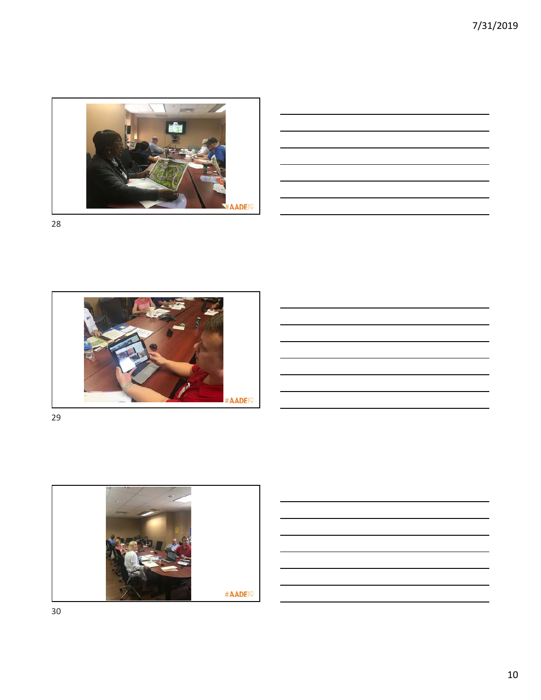

|                                                                                                                      |  |  | $\sim$ $\sim$ |
|----------------------------------------------------------------------------------------------------------------------|--|--|---------------|
|                                                                                                                      |  |  | _____         |
|                                                                                                                      |  |  |               |
| <u> 1989 - Andrea Santa Andrea Andrea Andrea Andrea Andrea Andrea Andrea Andrea Andrea Andrea Andrea Andrea Andr</u> |  |  |               |





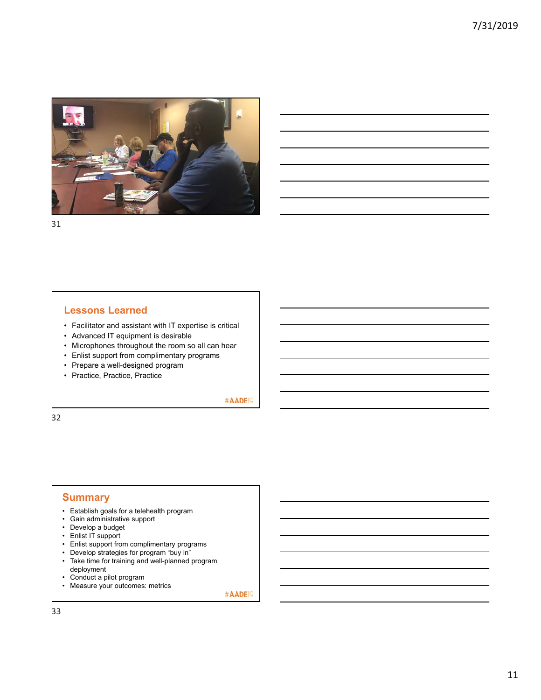

### **Lessons Learned**

- Facilitator and assistant with IT expertise is critical
- Advanced IT equipment is desirable
- Microphones throughout the room so all can hear
- Enlist support from complimentary programs
- Prepare a well-designed program
- Practice, Practice, Practice

#AADE<sup>19</sup>

32

#### **Summary**

- Establish goals for a telehealth program
- Gain administrative support
- Develop a budget
- Enlist IT support
- Enlist support from complimentary programs
- Develop strategies for program "buy in"
- Take time for training and well-planned program deployment
- Conduct a pilot program
- Measure your outcomes: metrics

#AADE<sup>19</sup>